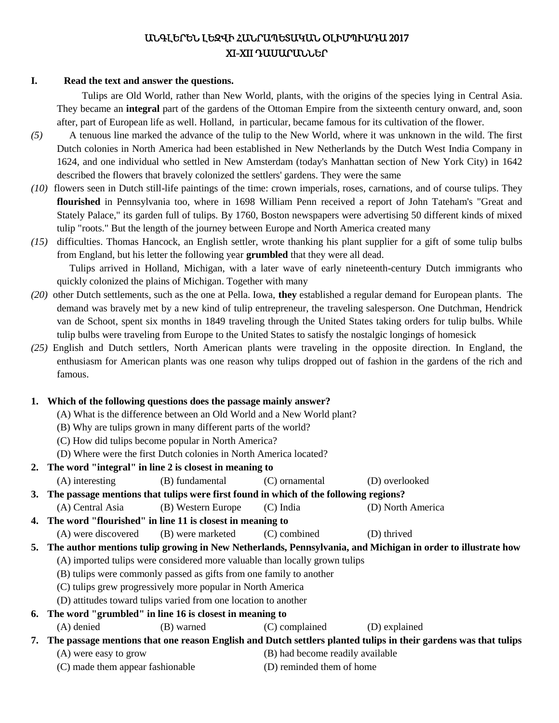# ԱՆԳԼԵՐԵՆ ԼԵԶՎԻ ՀԱՆՐԱՊԵՏԱԿԱՆ ՕԼԻՄՊԻԱԴԱ 2017 XI-XII ԴԱՍԱՐԱՆՆԵՐ

#### **I. Read the text and answer the questions.**

 Tulips are Old World, rather than New World, plants, with the origins of the species lying in Central Asia. They became an **integral** part of the gardens of the Ottoman Empire from the sixteenth century onward, and, soon after, part of European life as well. Holland, in particular, became famous for its cultivation of the flower.

- *(5)* A tenuous line marked the advance of the tulip to the New World, where it was unknown in the wild. The first Dutch colonies in North America had been established in New Netherlands by the Dutch West India Company in 1624, and one individual who settled in New Amsterdam (today's Manhattan section of New York City) in 1642 described the flowers that bravely colonized the settlers' gardens. They were the same
- *(10)* flowers seen in Dutch still-life paintings of the time: crown imperials, roses, carnations, and of course tulips. They **flourished** in Pennsylvania too, where in 1698 William Penn received a report of John Tateham's "Great and Stately Palace," its garden full of tulips. By 1760, Boston newspapers were advertising 50 different kinds of mixed tulip "roots." But the length of the journey between Europe and North America created many
- *(15)* difficulties. Thomas Hancock, an English settler, wrote thanking his plant supplier for a gift of some tulip bulbs from England, but his letter the following year **grumbled** that they were all dead. Tulips arrived in Holland, Michigan, with a later wave of early nineteenth-century Dutch immigrants who quickly colonized the plains of Michigan. Together with many
- *(20)* other Dutch settlements, such as the one at Pella. Iowa, **they** established a regular demand for European plants. The demand was bravely met by a new kind of tulip entrepreneur, the traveling salesperson. One Dutchman, Hendrick van de Schoot, spent six months in 1849 traveling through the United States taking orders for tulip bulbs. While tulip bulbs were traveling from Europe to the United States to satisfy the nostalgic longings of homesick
- *(25)* English and Dutch settlers, North American plants were traveling in the opposite direction. In England, the enthusiasm for American plants was one reason why tulips dropped out of fashion in the gardens of the rich and famous.

#### **1. Which of the following questions does the passage mainly answer?**

- (A) What is the difference between an Old World and a New World plant?
- (B) Why are tulips grown in many different parts of the world?
- (C) How did tulips become popular in North America?
- (D) Where were the first Dutch colonies in North America located?
- **2. The word "integral" in line 2 is closest in meaning to**

(A) interesting (B) fundamental (C) ornamental (D) overlooked

**3. The passage mentions that tulips were first found in which of the following regions?**

- (A) Central Asia (B) Western Europe (C) India (D) North America
- **4. The word "flourished" in line 11 is closest in meaning to**

```
(A) were discovered (B) were marketed (C) combined (D) thrived
```
- **5. The author mentions tulip growing in New Netherlands, Pennsylvania, and Michigan in order to illustrate how**
	- (A) imported tulips were considered more valuable than locally grown tulips
	- (B) tulips were commonly passed as gifts from one family to another
	- (C) tulips grew progressively more popular in North America
	- (D) attitudes toward tulips varied from one location to another

# **6. The word "grumbled" in line 16 is closest in meaning to**

(A) denied (B) warned (C) complained (D) explained

# **7. The passage mentions that one reason English and Dutch settlers planted tulips in their gardens was that tulips**

- 
- (A) were easy to grow (B) had become readily available
- (C) made them appear fashionable (D) reminded them of home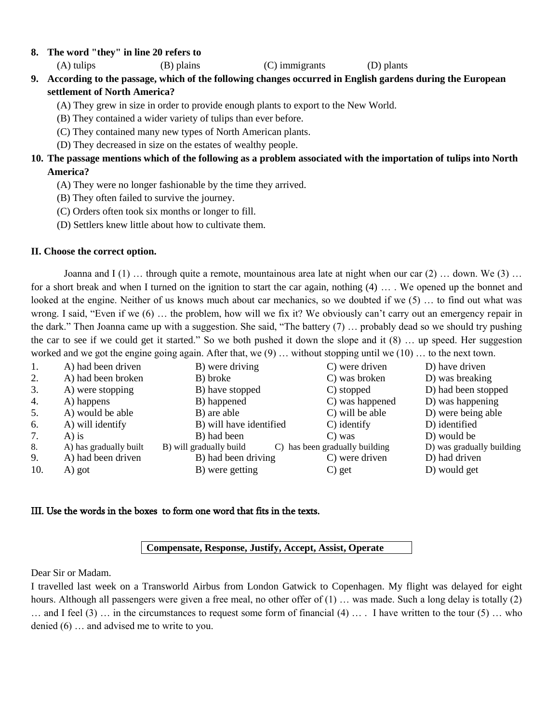#### **8. The word "they" in line 20 refers to**

(A) tulips (B) plains (C) immigrants (D) plants

**9. According to the passage, which of the following changes occurred in English gardens during the European settlement of North America?**

(A) They grew in size in order to provide enough plants to export to the New World.

- (B) They contained a wider variety of tulips than ever before.
- (C) They contained many new types of North American plants.
- (D) They decreased in size on the estates of wealthy people.

# **10. The passage mentions which of the following as a problem associated with the importation of tulips into North America?**

- (A) They were no longer fashionable by the time they arrived.
- (B) They often failed to survive the journey.
- (C) Orders often took six months or longer to fill.
- (D) Settlers knew little about how to cultivate them.

#### **II. Choose the correct option.**

Joanna and  $I(1)$  … through quite a remote, mountainous area late at night when our car  $(2)$  … down. We  $(3)$  … for a short break and when I turned on the ignition to start the car again, nothing (4) … . We opened up the bonnet and looked at the engine. Neither of us knows much about car mechanics, so we doubted if we (5) … to find out what was wrong. I said, "Even if we (6) … the problem, how will we fix it? We obviously can't carry out an emergency repair in the dark." Then Joanna came up with a suggestion. She said, "The battery (7) … probably dead so we should try pushing the car to see if we could get it started." So we both pushed it down the slope and it (8) … up speed. Her suggestion worked and we got the engine going again. After that, we  $(9)$  ... without stopping until we  $(10)$  ... to the next town.

| 1.  | A) had been driven     | B) were driving         | C) were driven                 | D) have driven            |
|-----|------------------------|-------------------------|--------------------------------|---------------------------|
| 2.  | A) had been broken     | B) broke                | C) was broken                  | D) was breaking           |
| 3.  | A) were stopping       | B) have stopped         | C) stopped                     | D) had been stopped       |
| 4.  | A) happens             | B) happened             | C) was happened                | D) was happening          |
| 5.  | A) would be able       | B) are able             | C) will be able                | D) were being able        |
| 6.  | A) will identify       | B) will have identified | C) identify                    | D) identified             |
| 7.  | $A)$ is                | B) had been             | C) was                         | D) would be               |
| 8.  | A) has gradually built | B) will gradually build | C) has been gradually building | D) was gradually building |
| 9.  | A) had been driven     | B) had been driving     | C) were driven                 | D) had driven             |
| 10. | A) got                 | B) were getting         | C) get                         | D) would get              |

#### III. Use the words in the boxes to form one word that fits in the texts.

### **Compensate, Response, Justify, Accept, Assist, Operate**

Dear Sir or Madam.

I travelled last week on a Transworld Airbus from London Gatwick to Copenhagen. My flight was delayed for eight hours. Although all passengers were given a free meal, no other offer of (1) ... was made. Such a long delay is totally (2) … and I feel  $(3)$  … in the circumstances to request some form of financial  $(4)$  … . I have written to the tour  $(5)$  … who denied (6) … and advised me to write to you.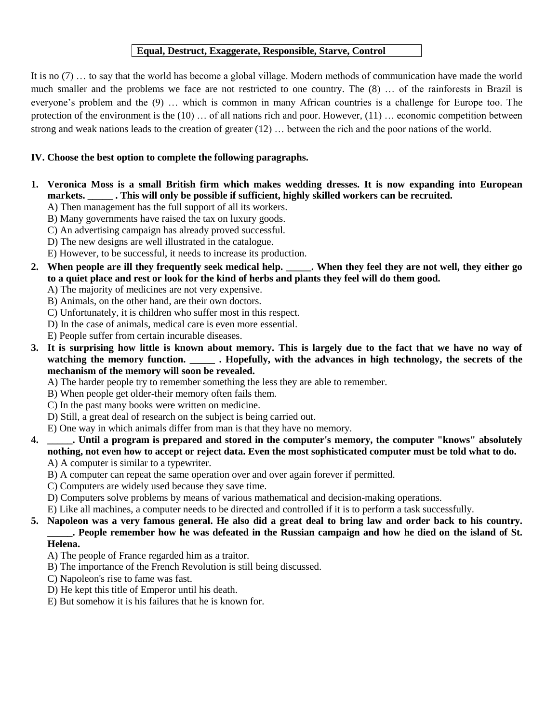## **Equal, Destruct, Exaggerate, Responsible, Starve, Control**

It is no (7) … to say that the world has become a global village. Modern methods of communication have made the world much smaller and the problems we face are not restricted to one country. The (8) … of the rainforests in Brazil is everyone's problem and the (9) … which is common in many African countries is a challenge for Europe too. The protection of the environment is the (10) … of all nations rich and poor. However, (11) … economic competition between strong and weak nations leads to the creation of greater (12) … between the rich and the poor nations of the world.

### **IV. Choose the best option to complete the following paragraphs.**

- **1. Veronica Moss is a small British firm which makes wedding dresses. It is now expanding into European markets. \_\_\_\_\_ . This will only be possible if sufficient, highly skilled workers can be recruited.**
	- A) Then management has the full support of all its workers.
	- B) Many governments have raised the tax on luxury goods.
	- C) An advertising campaign has already proved successful.
	- D) The new designs are well illustrated in the catalogue.
	- E) However, to be successful, it needs to increase its production.
- **2. When people are ill they frequently seek medical help. \_\_\_\_\_. When they feel they are not well, they either go to a quiet place and rest or look for the kind of herbs and plants they feel will do them good.**
	- A) The majority of medicines are not very expensive.
	- B) Animals, on the other hand, are their own doctors.
	- C) Unfortunately, it is children who suffer most in this respect.
	- D) In the case of animals, medical care is even more essential.
	- E) People suffer from certain incurable diseases.
- **3. It is surprising how little is known about memory. This is largely due to the fact that we have no way of watching the memory function. \_\_\_\_\_ . Hopefully, with the advances in high technology, the secrets of the mechanism of the memory will soon be revealed.**
	- A) The harder people try to remember something the less they are able to remember.
	- B) When people get older-their memory often fails them.
	- C) In the past many books were written on medicine.
	- D) Still, a great deal of research on the subject is being carried out.
	- E) One way in which animals differ from man is that they have no memory.
- **4. \_\_\_\_\_. Until a program is prepared and stored in the computer's memory, the computer "knows" absolutely nothing, not even how to accept or reject data. Even the most sophisticated computer must be told what to do.** A) A computer is similar to a typewriter.
	- B) A computer can repeat the same operation over and over again forever if permitted.
	- C) Computers are widely used because they save time.
	- D) Computers solve problems by means of various mathematical and decision-making operations.
	- E) Like all machines, a computer needs to be directed and controlled if it is to perform a task successfully.
- **5. Napoleon was a very famous general. He also did a great deal to bring law and order back to his country. \_\_\_\_\_. People remember how he was defeated in the Russian campaign and how he died on the island of St. Helena.**
	- A) The people of France regarded him as a traitor.
	- B) The importance of the French Revolution is still being discussed.
	- C) Napoleon's rise to fame was fast.
	- D) He kept this title of Emperor until his death.
	- E) But somehow it is his failures that he is known for.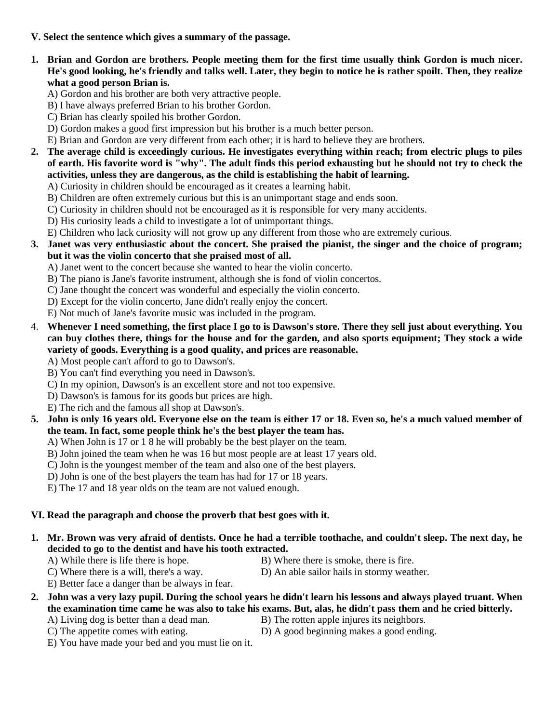### **V. Select the sentence which gives a summary of the passage.**

- **1. Brian and Gordon are brothers. People meeting them for the first time usually think Gordon is much nicer. He's good looking, he's friendly and talks well. Later, they begin to notice he is rather spoilt. Then, they realize what a good person Brian is.**
	- A) Gordon and his brother are both very attractive people.
	- B) I have always preferred Brian to his brother Gordon.
	- C) Brian has clearly spoiled his brother Gordon.
	- D) Gordon makes a good first impression but his brother is a much better person.
	- E) Brian and Gordon are very different from each other; it is hard to believe they are brothers.
- **2. The average child is exceedingly curious. He investigates everything within reach; from electric plugs to piles of earth. His favorite word is "why". The adult finds this period exhausting but he should not try to check the activities, unless they are dangerous, as the child is establishing the habit of learning.**
	- A) Curiosity in children should be encouraged as it creates a learning habit.
	- B) Children are often extremely curious but this is an unimportant stage and ends soon.
	- C) Curiosity in children should not be encouraged as it is responsible for very many accidents.
	- D) His curiosity leads a child to investigate a lot of unimportant things.
	- E) Children who lack curiosity will not grow up any different from those who are extremely curious.
- **3. Janet was very enthusiastic about the concert. She praised the pianist, the singer and the choice of program; but it was the violin concerto that she praised most of all.**
	- A) Janet went to the concert because she wanted to hear the violin concerto.
	- B) The piano is Jane's favorite instrument, although she is fond of violin concertos.
	- C) Jane thought the concert was wonderful and especially the violin concerto.
	- D) Except for the violin concerto, Jane didn't really enjoy the concert.
	- E) Not much of Jane's favorite music was included in the program.
- 4. **Whenever I need something, the first place I go to is Dawson's store. There they sell just about everything. You can buy clothes there, things for the house and for the garden, and also sports equipment; They stock a wide variety of goods. Everything is a good quality, and prices are reasonable.**

A) Most people can't afford to go to Dawson's.

- B) You can't find everything you need in Dawson's.
- C) In my opinion, Dawson's is an excellent store and not too expensive.
- D) Dawson's is famous for its goods but prices are high.
- E) The rich and the famous all shop at Dawson's.
- **5. John is only 16 years old. Everyone else on the team is either 17 or 18. Even so, he's a much valued member of the team. In fact, some people think he's the best player the team has.**
	- A) When John is 17 or 1 8 he will probably be the best player on the team.
	- B) John joined the team when he was 16 but most people are at least 17 years old.
	- C) John is the youngest member of the team and also one of the best players.
	- D) John is one of the best players the team has had for 17 or 18 years.
	- E) The 17 and 18 year olds on the team are not valued enough.

### **VI. Read the paragraph and choose the proverb that best goes with it.**

- **1. Mr. Brown was very afraid of dentists. Once he had a terrible toothache, and couldn't sleep. The next day, he decided to go to the dentist and have his tooth extracted.**
	-
	- A) While there is life there is hope. B) Where there is smoke, there is fire.
	- C) Where there is a will, there's a way. D) An able sailor hails in stormy weather.
- - E) Better face a danger than be always in fear.
- **2. John was a very lazy pupil. During the school years he didn't learn his lessons and always played truant. When the examination time came he was also to take his exams. But, alas, he didn't pass them and he cried bitterly.**
	- A) Living dog is better than a dead man. B) The rotten apple injures its neighbors.
		-
	- E) You have made your bed and you must lie on it.
	- C) The appetite comes with eating. D) A good beginning makes a good ending.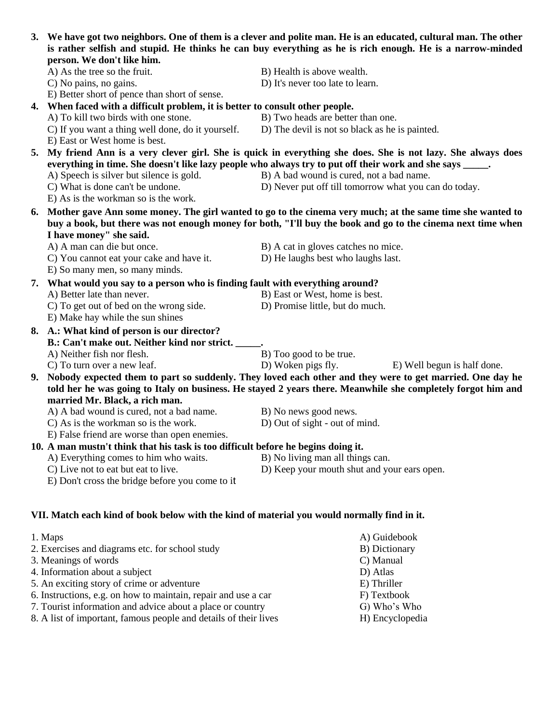| 3. We have got two neighbors. One of them is a clever and polite man. He is an educated, cultural man. The other<br>is rather selfish and stupid. He thinks he can buy everything as he is rich enough. He is a narrow-minded<br>person. We don't like him. |                                                                                                               |  |  |  |  |
|-------------------------------------------------------------------------------------------------------------------------------------------------------------------------------------------------------------------------------------------------------------|---------------------------------------------------------------------------------------------------------------|--|--|--|--|
| A) As the tree so the fruit.                                                                                                                                                                                                                                | B) Health is above wealth.                                                                                    |  |  |  |  |
| C) No pains, no gains.                                                                                                                                                                                                                                      | D) It's never too late to learn.                                                                              |  |  |  |  |
| E) Better short of pence than short of sense.                                                                                                                                                                                                               |                                                                                                               |  |  |  |  |
| 4. When faced with a difficult problem, it is better to consult other people.                                                                                                                                                                               |                                                                                                               |  |  |  |  |
| A) To kill two birds with one stone.                                                                                                                                                                                                                        | B) Two heads are better than one.                                                                             |  |  |  |  |
| C) If you want a thing well done, do it yourself.                                                                                                                                                                                                           | D) The devil is not so black as he is painted.                                                                |  |  |  |  |
| E) East or West home is best.                                                                                                                                                                                                                               |                                                                                                               |  |  |  |  |
|                                                                                                                                                                                                                                                             | 5. My friend Ann is a very clever girl. She is quick in everything she does. She is not lazy. She always does |  |  |  |  |
|                                                                                                                                                                                                                                                             |                                                                                                               |  |  |  |  |
|                                                                                                                                                                                                                                                             | everything in time. She doesn't like lazy people who always try to put off their work and she says _____.     |  |  |  |  |
| A) Speech is silver but silence is gold.                                                                                                                                                                                                                    | B) A bad wound is cured, not a bad name.                                                                      |  |  |  |  |
| C) What is done can't be undone.<br>E) As is the workman so is the work.                                                                                                                                                                                    | D) Never put off till tomorrow what you can do today.                                                         |  |  |  |  |
|                                                                                                                                                                                                                                                             |                                                                                                               |  |  |  |  |
|                                                                                                                                                                                                                                                             | 6. Mother gave Ann some money. The girl wanted to go to the cinema very much; at the same time she wanted to  |  |  |  |  |
|                                                                                                                                                                                                                                                             | buy a book, but there was not enough money for both, "I'll buy the book and go to the cinema next time when   |  |  |  |  |
| I have money" she said.                                                                                                                                                                                                                                     |                                                                                                               |  |  |  |  |
| A) A man can die but once.                                                                                                                                                                                                                                  | B) A cat in gloves catches no mice.                                                                           |  |  |  |  |
| C) You cannot eat your cake and have it.                                                                                                                                                                                                                    | D) He laughs best who laughs last.                                                                            |  |  |  |  |
| E) So many men, so many minds.                                                                                                                                                                                                                              |                                                                                                               |  |  |  |  |
| 7. What would you say to a person who is finding fault with everything around?                                                                                                                                                                              |                                                                                                               |  |  |  |  |
| A) Better late than never.                                                                                                                                                                                                                                  | B) East or West, home is best.                                                                                |  |  |  |  |
| C) To get out of bed on the wrong side.                                                                                                                                                                                                                     | D) Promise little, but do much.                                                                               |  |  |  |  |
| E) Make hay while the sun shines                                                                                                                                                                                                                            |                                                                                                               |  |  |  |  |
| 8. A.: What kind of person is our director?                                                                                                                                                                                                                 |                                                                                                               |  |  |  |  |
| B.: Can't make out. Neither kind nor strict.                                                                                                                                                                                                                |                                                                                                               |  |  |  |  |
| A) Neither fish nor flesh.                                                                                                                                                                                                                                  | B) Too good to be true.                                                                                       |  |  |  |  |
| C) To turn over a new leaf.                                                                                                                                                                                                                                 | D) Woken pigs fly.<br>E) Well begun is half done.                                                             |  |  |  |  |
|                                                                                                                                                                                                                                                             | 9. Nobody expected them to part so suddenly. They loved each other and they were to get married. One day he   |  |  |  |  |
|                                                                                                                                                                                                                                                             | told her he was going to Italy on business. He stayed 2 years there. Meanwhile she completely forgot him and  |  |  |  |  |
| married Mr. Black, a rich man.                                                                                                                                                                                                                              |                                                                                                               |  |  |  |  |
| A) A bad wound is cured, not a bad name.                                                                                                                                                                                                                    | B) No news good news.                                                                                         |  |  |  |  |
| C) As is the workman so is the work.                                                                                                                                                                                                                        | D) Out of sight - out of mind.                                                                                |  |  |  |  |
| E) False friend are worse than open enemies.                                                                                                                                                                                                                |                                                                                                               |  |  |  |  |
| 10. A man mustn't think that his task is too difficult before he begins doing it.                                                                                                                                                                           |                                                                                                               |  |  |  |  |
| A) Everything comes to him who waits.                                                                                                                                                                                                                       | B) No living man all things can.                                                                              |  |  |  |  |
| C) Live not to eat but eat to live.                                                                                                                                                                                                                         | D) Keep your mouth shut and your ears open.                                                                   |  |  |  |  |
| E) Don't cross the bridge before you come to it                                                                                                                                                                                                             |                                                                                                               |  |  |  |  |
|                                                                                                                                                                                                                                                             |                                                                                                               |  |  |  |  |
|                                                                                                                                                                                                                                                             |                                                                                                               |  |  |  |  |
|                                                                                                                                                                                                                                                             |                                                                                                               |  |  |  |  |

# **VII. Match each kind of book below with the kind of material you would normally find in it.**

| 1. Maps                                                          | A) Guidebook    |
|------------------------------------------------------------------|-----------------|
| 2. Exercises and diagrams etc. for school study                  | B) Dictionary   |
| 3. Meanings of words                                             | C) Manual       |
| 4. Information about a subject                                   | D) Atlas        |
| 5. An exciting story of crime or adventure                       | E) Thriller     |
| 6. Instructions, e.g. on how to maintain, repair and use a car   | F) Textbook     |
| 7. Tourist information and advice about a place or country       | G) Who's Who    |
| 8. A list of important, famous people and details of their lives | H) Encyclopedia |
|                                                                  |                 |